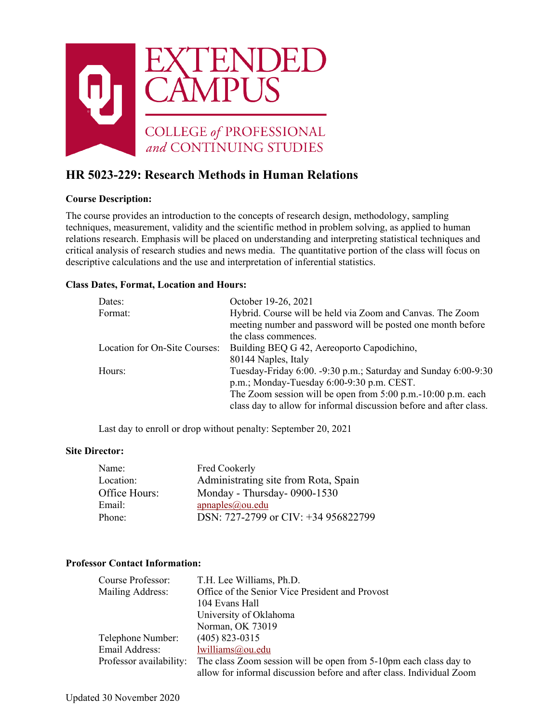

# **HR 5023-229: Research Methods in Human Relations**

# **Course Description:**

The course provides an introduction to the concepts of research design, methodology, sampling techniques, measurement, validity and the scientific method in problem solving, as applied to human relations research. Emphasis will be placed on understanding and interpreting statistical techniques and critical analysis of research studies and news media. The quantitative portion of the class will focus on descriptive calculations and the use and interpretation of inferential statistics.

### **Class Dates, Format, Location and Hours:**

| Dates:                        | October 19-26, 2021                                                |  |
|-------------------------------|--------------------------------------------------------------------|--|
| Format:                       | Hybrid. Course will be held via Zoom and Canvas. The Zoom          |  |
|                               | meeting number and password will be posted one month before        |  |
|                               | the class commences.                                               |  |
| Location for On-Site Courses: | Building BEQ G 42, Aereoporto Capodichino,                         |  |
|                               | 80144 Naples, Italy                                                |  |
| Hours:                        | Tuesday-Friday 6:00. -9:30 p.m.; Saturday and Sunday 6:00-9:30     |  |
|                               | p.m.; Monday-Tuesday 6:00-9:30 p.m. CEST.                          |  |
|                               | The Zoom session will be open from $5:00$ p.m. $-10:00$ p.m. each  |  |
|                               | class day to allow for informal discussion before and after class. |  |

Last day to enroll or drop without penalty: September 20, 2021

#### **Site Director:**

| Name:         | Fred Cookerly                        |
|---------------|--------------------------------------|
| Location:     | Administrating site from Rota, Spain |
| Office Hours: | Monday - Thursday-0900-1530          |
| Email:        | apnaples@ou.edu                      |
| Phone:        | DSN: 727-2799 or CIV: +34 956822799  |

# **Professor Contact Information:**

| Course Professor:       | T.H. Lee Williams, Ph.D.                                              |
|-------------------------|-----------------------------------------------------------------------|
| Mailing Address:        | Office of the Senior Vice President and Provost                       |
|                         | 104 Evans Hall                                                        |
|                         | University of Oklahoma                                                |
|                         | Norman, OK 73019                                                      |
| Telephone Number:       | $(405)$ 823-0315                                                      |
| Email Address:          | lwilliams@ou.edu                                                      |
| Professor availability: | The class Zoom session will be open from 5-10pm each class day to     |
|                         | allow for informal discussion before and after class. Individual Zoom |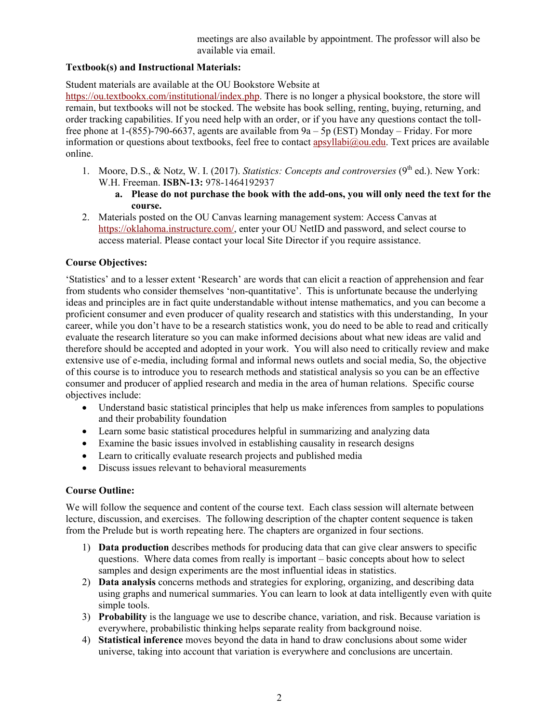meetings are also available by appointment. The professor will also be available via email.

### **Textbook(s) and Instructional Materials:**

Student materials are available at the OU Bookstore Website at

[https://ou.textbookx.com/institutional/index.php.](about:blank) There is no longer a physical bookstore, the store will remain, but textbooks will not be stocked. The website has book selling, renting, buying, returning, and order tracking capabilities. If you need help with an order, or if you have any questions contact the tollfree phone at 1-(855)-790-6637, agents are available from 9a – 5p (EST) Monday – Friday. For more information or questions about textbooks, feel free to contact apsyllabi $@$ ou.edu. Text prices are available online.

- 1. Moore, D.S., & Notz, W. I. (2017). *Statistics: Concepts and controversies* (9<sup>th</sup> ed.). New York: W.H. Freeman. **ISBN-13:** 978-1464192937
	- **a. Please do not purchase the book with the add-ons, you will only need the text for the course.**
- 2. Materials posted on the OU Canvas learning management system: Access Canvas at [https://oklahoma.instructure.com/,](about:blank) enter your OU NetID and password, and select course to access material. Please contact your local Site Director if you require assistance.

### **Course Objectives:**

'Statistics' and to a lesser extent 'Research' are words that can elicit a reaction of apprehension and fear from students who consider themselves 'non-quantitative'. This is unfortunate because the underlying ideas and principles are in fact quite understandable without intense mathematics, and you can become a proficient consumer and even producer of quality research and statistics with this understanding, In your career, while you don't have to be a research statistics wonk, you do need to be able to read and critically evaluate the research literature so you can make informed decisions about what new ideas are valid and therefore should be accepted and adopted in your work. You will also need to critically review and make extensive use of e-media, including formal and informal news outlets and social media, So, the objective of this course is to introduce you to research methods and statistical analysis so you can be an effective consumer and producer of applied research and media in the area of human relations. Specific course objectives include:

- Understand basic statistical principles that help us make inferences from samples to populations and their probability foundation
- Learn some basic statistical procedures helpful in summarizing and analyzing data
- Examine the basic issues involved in establishing causality in research designs
- Learn to critically evaluate research projects and published media
- Discuss issues relevant to behavioral measurements

# **Course Outline:**

We will follow the sequence and content of the course text. Each class session will alternate between lecture, discussion, and exercises. The following description of the chapter content sequence is taken from the Prelude but is worth repeating here. The chapters are organized in four sections.

- 1) **Data production** describes methods for producing data that can give clear answers to specific questions. Where data comes from really is important – basic concepts about how to select samples and design experiments are the most influential ideas in statistics.
- 2) **Data analysis** concerns methods and strategies for exploring, organizing, and describing data using graphs and numerical summaries. You can learn to look at data intelligently even with quite simple tools.
- 3) **Probability** is the language we use to describe chance, variation, and risk. Because variation is everywhere, probabilistic thinking helps separate reality from background noise.
- 4) **Statistical inference** moves beyond the data in hand to draw conclusions about some wider universe, taking into account that variation is everywhere and conclusions are uncertain.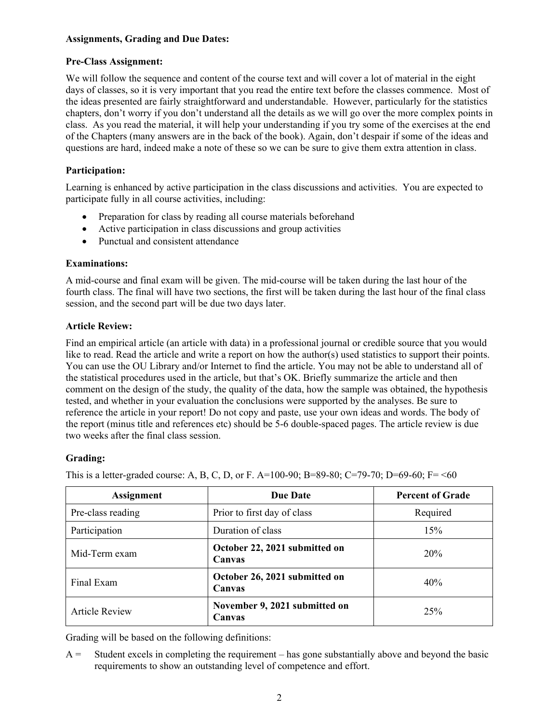#### **Assignments, Grading and Due Dates:**

#### **Pre-Class Assignment:**

We will follow the sequence and content of the course text and will cover a lot of material in the eight days of classes, so it is very important that you read the entire text before the classes commence. Most of the ideas presented are fairly straightforward and understandable. However, particularly for the statistics chapters, don't worry if you don't understand all the details as we will go over the more complex points in class. As you read the material, it will help your understanding if you try some of the exercises at the end of the Chapters (many answers are in the back of the book). Again, don't despair if some of the ideas and questions are hard, indeed make a note of these so we can be sure to give them extra attention in class.

### **Participation:**

Learning is enhanced by active participation in the class discussions and activities. You are expected to participate fully in all course activities, including:

- Preparation for class by reading all course materials beforehand
- Active participation in class discussions and group activities
- Punctual and consistent attendance

### **Examinations:**

A mid-course and final exam will be given. The mid-course will be taken during the last hour of the fourth class. The final will have two sections, the first will be taken during the last hour of the final class session, and the second part will be due two days later.

### **Article Review:**

Find an empirical article (an article with data) in a professional journal or credible source that you would like to read. Read the article and write a report on how the author(s) used statistics to support their points. You can use the OU Library and/or Internet to find the article. You may not be able to understand all of the statistical procedures used in the article, but that's OK. Briefly summarize the article and then comment on the design of the study, the quality of the data, how the sample was obtained, the hypothesis tested, and whether in your evaluation the conclusions were supported by the analyses. Be sure to reference the article in your report! Do not copy and paste, use your own ideas and words. The body of the report (minus title and references etc) should be 5-6 double-spaced pages. The article review is due two weeks after the final class session.

# **Grading:**

This is a letter-graded course: A, B, C, D, or F. A=100-90; B=89-80; C=79-70; D=69-60; F= <60

| <b>Assignment</b>     | <b>Due Date</b>                         | <b>Percent of Grade</b> |
|-----------------------|-----------------------------------------|-------------------------|
| Pre-class reading     | Prior to first day of class             | Required                |
| Participation         | Duration of class                       | 15%                     |
| Mid-Term exam         | October 22, 2021 submitted on<br>Canvas | 20%                     |
| Final Exam            | October 26, 2021 submitted on<br>Canvas | 40%                     |
| <b>Article Review</b> | November 9, 2021 submitted on<br>Canvas | 25%                     |

Grading will be based on the following definitions:

 $A =$  Student excels in completing the requirement – has gone substantially above and beyond the basic requirements to show an outstanding level of competence and effort.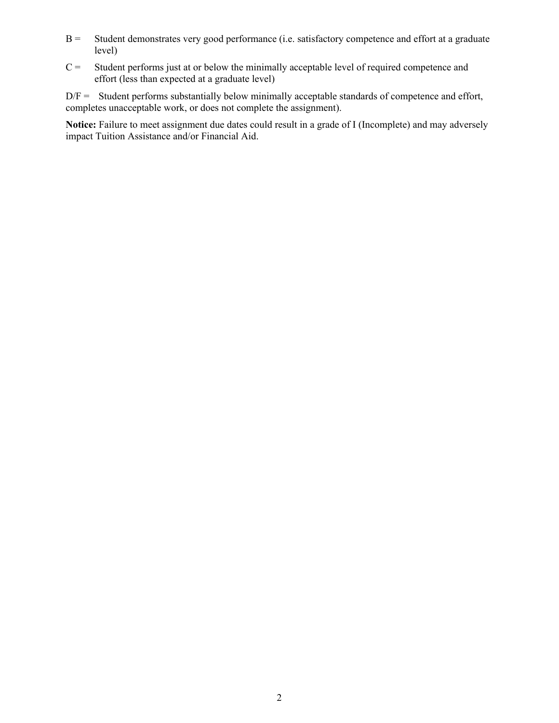- B = Student demonstrates very good performance (i.e. satisfactory competence and effort at a graduate level)
- $C =$  Student performs just at or below the minimally acceptable level of required competence and effort (less than expected at a graduate level)

 $D/F =$  Student performs substantially below minimally acceptable standards of competence and effort, completes unacceptable work, or does not complete the assignment).

**Notice:** Failure to meet assignment due dates could result in a grade of I (Incomplete) and may adversely impact Tuition Assistance and/or Financial Aid.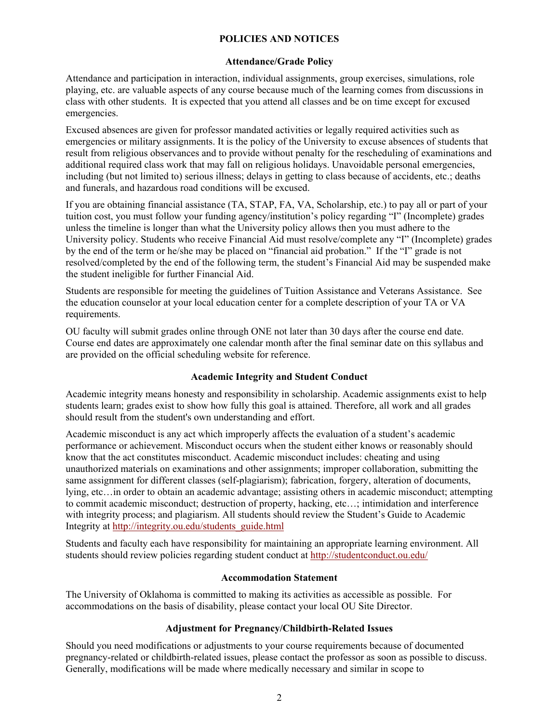#### **POLICIES AND NOTICES**

#### **Attendance/Grade Policy**

Attendance and participation in interaction, individual assignments, group exercises, simulations, role playing, etc. are valuable aspects of any course because much of the learning comes from discussions in class with other students. It is expected that you attend all classes and be on time except for excused emergencies.

Excused absences are given for professor mandated activities or legally required activities such as emergencies or military assignments. It is the policy of the University to excuse absences of students that result from religious observances and to provide without penalty for the rescheduling of examinations and additional required class work that may fall on religious holidays. Unavoidable personal emergencies, including (but not limited to) serious illness; delays in getting to class because of accidents, etc.; deaths and funerals, and hazardous road conditions will be excused.

If you are obtaining financial assistance (TA, STAP, FA, VA, Scholarship, etc.) to pay all or part of your tuition cost, you must follow your funding agency/institution's policy regarding "I" (Incomplete) grades unless the timeline is longer than what the University policy allows then you must adhere to the University policy. Students who receive Financial Aid must resolve/complete any "I" (Incomplete) grades by the end of the term or he/she may be placed on "financial aid probation." If the "I" grade is not resolved/completed by the end of the following term, the student's Financial Aid may be suspended make the student ineligible for further Financial Aid.

Students are responsible for meeting the guidelines of Tuition Assistance and Veterans Assistance. See the education counselor at your local education center for a complete description of your TA or VA requirements.

OU faculty will submit grades online through ONE not later than 30 days after the course end date. Course end dates are approximately one calendar month after the final seminar date on this syllabus and are provided on the official scheduling website for reference.

#### **Academic Integrity and Student Conduct**

Academic integrity means honesty and responsibility in scholarship. Academic assignments exist to help students learn; grades exist to show how fully this goal is attained. Therefore, all work and all grades should result from the student's own understanding and effort.

Academic misconduct is any act which improperly affects the evaluation of a student's academic performance or achievement. Misconduct occurs when the student either knows or reasonably should know that the act constitutes misconduct. Academic misconduct includes: cheating and using unauthorized materials on examinations and other assignments; improper collaboration, submitting the same assignment for different classes (self-plagiarism); fabrication, forgery, alteration of documents, lying, etc…in order to obtain an academic advantage; assisting others in academic misconduct; attempting to commit academic misconduct; destruction of property, hacking, etc…; intimidation and interference with integrity process; and plagiarism. All students should review the Student's Guide to Academic Integrity at [http://integrity.ou.edu/students\\_guide.html](http://integrity.ou.edu/students_guide.html)

Students and faculty each have responsibility for maintaining an appropriate learning environment. All students should review policies regarding student conduct at<http://studentconduct.ou.edu/>

#### **Accommodation Statement**

The University of Oklahoma is committed to making its activities as accessible as possible. For accommodations on the basis of disability, please contact your local OU Site Director.

#### **Adjustment for Pregnancy/Childbirth-Related Issues**

Should you need modifications or adjustments to your course requirements because of documented pregnancy-related or childbirth-related issues, please contact the professor as soon as possible to discuss. Generally, modifications will be made where medically necessary and similar in scope to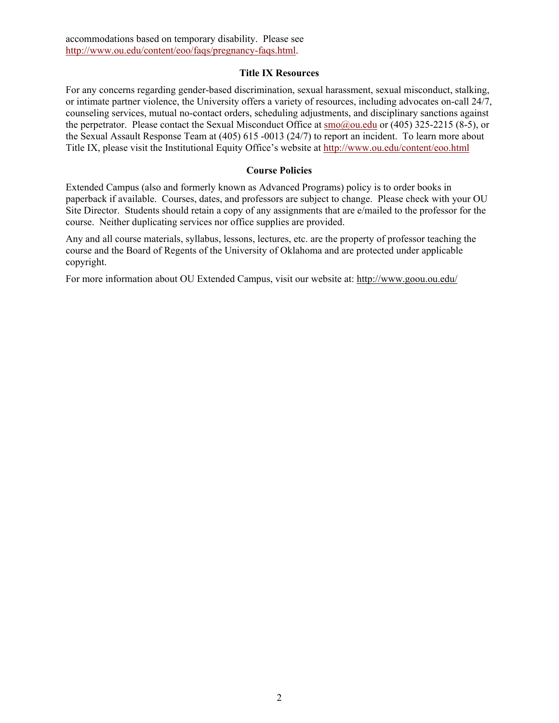#### **Title IX Resources**

For any concerns regarding gender-based discrimination, sexual harassment, sexual misconduct, stalking, or intimate partner violence, the University offers a variety of resources, including advocates on-call 24/7, counseling services, mutual no-contact orders, scheduling adjustments, and disciplinary sanctions against the perpetrator. Please contact the Sexual Misconduct Office at [smo@ou.edu](mailto:smo@ou.edu) or (405) 325-2215 (8-5), or the Sexual Assault Response Team at (405) 615 -0013 (24/7) to report an incident. To learn more about Title IX, please visit the Institutional Equity Office's website at<http://www.ou.edu/content/eoo.html>

#### **Course Policies**

Extended Campus (also and formerly known as Advanced Programs) policy is to order books in paperback if available. Courses, dates, and professors are subject to change. Please check with your OU Site Director. Students should retain a copy of any assignments that are e/mailed to the professor for the course. Neither duplicating services nor office supplies are provided.

Any and all course materials, syllabus, lessons, lectures, etc. are the property of professor teaching the course and the Board of Regents of the University of Oklahoma and are protected under applicable copyright.

For more information about OU Extended Campus, visit our website at:<http://www.goou.ou.edu/>